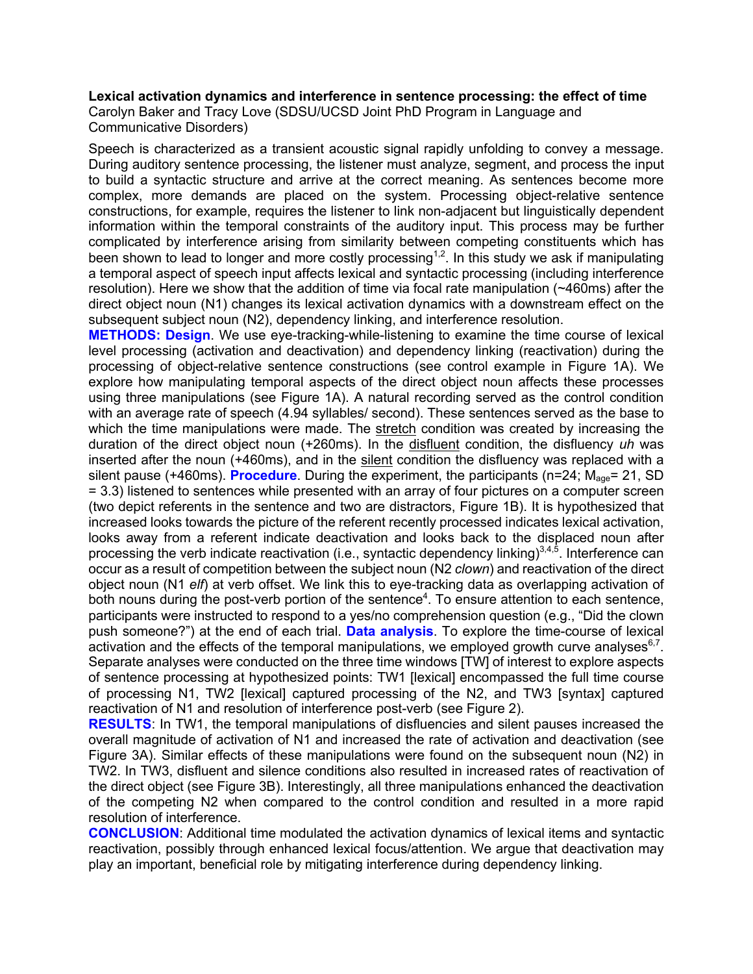## **Lexical activation dynamics and interference in sentence processing: the effect of time**

Carolyn Baker and Tracy Love (SDSU/UCSD Joint PhD Program in Language and Communicative Disorders)

Speech is characterized as a transient acoustic signal rapidly unfolding to convey a message. During auditory sentence processing, the listener must analyze, segment, and process the input to build a syntactic structure and arrive at the correct meaning. As sentences become more complex, more demands are placed on the system. Processing object-relative sentence constructions, for example, requires the listener to link non-adjacent but linguistically dependent information within the temporal constraints of the auditory input. This process may be further complicated by interference arising from similarity between competing constituents which has been shown to lead to longer and more costly processing<sup>1,2</sup>. In this study we ask if manipulating a temporal aspect of speech input affects lexical and syntactic processing (including interference resolution). Here we show that the addition of time via focal rate manipulation (~460ms) after the direct object noun (N1) changes its lexical activation dynamics with a downstream effect on the subsequent subject noun (N2), dependency linking, and interference resolution.

**METHODS: Design**. We use eye-tracking-while-listening to examine the time course of lexical level processing (activation and deactivation) and dependency linking (reactivation) during the processing of object-relative sentence constructions (see control example in Figure 1A). We explore how manipulating temporal aspects of the direct object noun affects these processes using three manipulations (see Figure 1A). A natural recording served as the control condition with an average rate of speech (4.94 syllables/ second). These sentences served as the base to which the time manipulations were made. The stretch condition was created by increasing the duration of the direct object noun (+260ms). In the disfluent condition, the disfluency *uh* was inserted after the noun (+460ms), and in the silent condition the disfluency was replaced with a silent pause (+460ms). **Procedure**. During the experiment, the participants (n=24; M<sub>age</sub>= 21, SD = 3.3) listened to sentences while presented with an array of four pictures on a computer screen (two depict referents in the sentence and two are distractors, Figure 1B). It is hypothesized that increased looks towards the picture of the referent recently processed indicates lexical activation, looks away from a referent indicate deactivation and looks back to the displaced noun after processing the verb indicate reactivation (i.e., syntactic dependency linking)<sup>3,4,5</sup>. Interference can occur as a result of competition between the subject noun (N2 *clown*) and reactivation of the direct object noun (N1 *elf*) at verb offset. We link this to eye-tracking data as overlapping activation of both nouns during the post-verb portion of the sentence<sup>4</sup>. To ensure attention to each sentence, participants were instructed to respond to a yes/no comprehension question (e.g., "Did the clown push someone?") at the end of each trial. **Data analysis**. To explore the time-course of lexical activation and the effects of the temporal manipulations, we employed growth curve analyses<sup>6,7</sup>. Separate analyses were conducted on the three time windows [TW] of interest to explore aspects of sentence processing at hypothesized points: TW1 [lexical] encompassed the full time course of processing N1, TW2 [lexical] captured processing of the N2, and TW3 [syntax] captured reactivation of N1 and resolution of interference post-verb (see Figure 2).

**RESULTS**: In TW1, the temporal manipulations of disfluencies and silent pauses increased the overall magnitude of activation of N1 and increased the rate of activation and deactivation (see Figure 3A). Similar effects of these manipulations were found on the subsequent noun (N2) in TW2. In TW3, disfluent and silence conditions also resulted in increased rates of reactivation of the direct object (see Figure 3B). Interestingly, all three manipulations enhanced the deactivation of the competing N2 when compared to the control condition and resulted in a more rapid resolution of interference.

**CONCLUSION**: Additional time modulated the activation dynamics of lexical items and syntactic reactivation, possibly through enhanced lexical focus/attention. We argue that deactivation may play an important, beneficial role by mitigating interference during dependency linking.